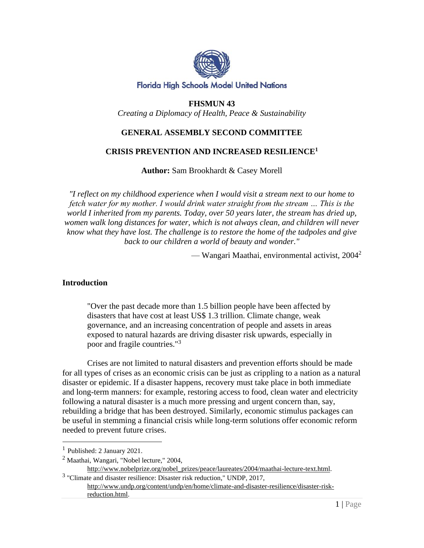

#### **Florida High Schools Model United Nations**

## **FHSMUN 43**

*Creating a Diplomacy of Health, Peace & Sustainability*

## **GENERAL ASSEMBLY SECOND COMMITTEE**

### **CRISIS PREVENTION AND INCREASED RESILIENCE<sup>1</sup>**

**Author:** Sam Brookhardt & Casey Morell

*"I reflect on my childhood experience when I would visit a stream next to our home to fetch water for my mother. I would drink water straight from the stream … This is the world I inherited from my parents. Today, over 50 years later, the stream has dried up, women walk long distances for water, which is not always clean, and children will never know what they have lost. The challenge is to restore the home of the tadpoles and give back to our children a world of beauty and wonder."*

— Wangari Maathai, environmental activist, 2004<sup>2</sup>

### **Introduction**

"Over the past decade more than 1.5 billion people have been affected by disasters that have cost at least US\$ 1.3 trillion. Climate change, weak governance, and an increasing concentration of people and assets in areas exposed to natural hazards are driving disaster risk upwards, especially in poor and fragile countries."<sup>3</sup>

Crises are not limited to natural disasters and prevention efforts should be made for all types of crises as an economic crisis can be just as crippling to a nation as a natural disaster or epidemic. If a disaster happens, recovery must take place in both immediate and long-term manners: for example, restoring access to food, clean water and electricity following a natural disaster is a much more pressing and urgent concern than, say, rebuilding a bridge that has been destroyed. Similarly, economic stimulus packages can be useful in stemming a financial crisis while long-term solutions offer economic reform needed to prevent future crises.

<sup>&</sup>lt;sup>1</sup> Published: 2 January 2021.

 $<sup>2</sup>$  Maathai, Wangari, "Nobel lecture," 2004,</sup>

[http://www.nobelprize.org/nobel\\_prizes/peace/laureates/2004/maathai-lecture-text.html.](http://www.nobelprize.org/nobel_prizes/peace/laureates/2004/maathai-lecture-text.html)

<sup>&</sup>lt;sup>3</sup> "Climate and disaster resilience: Disaster risk reduction," UNDP, 2017, [http://www.undp.org/content/undp/en/home/climate-and-disaster-resilience/disaster-risk](http://www.undp.org/content/undp/en/home/climate-and-disaster-resilience/disaster-risk-reduction.html)[reduction.html.](http://www.undp.org/content/undp/en/home/climate-and-disaster-resilience/disaster-risk-reduction.html)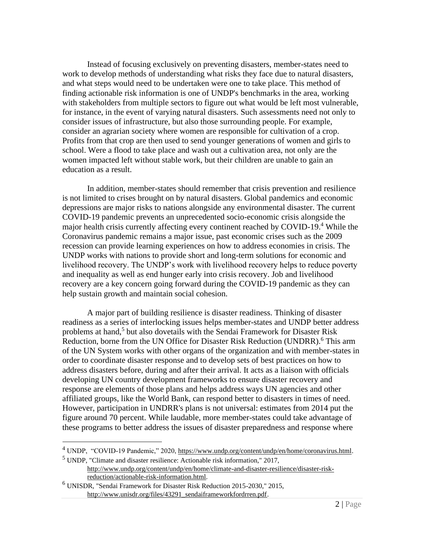Instead of focusing exclusively on preventing disasters, member-states need to work to develop methods of understanding what risks they face due to natural disasters, and what steps would need to be undertaken were one to take place. This method of finding actionable risk information is one of UNDP's benchmarks in the area, working with stakeholders from multiple sectors to figure out what would be left most vulnerable, for instance, in the event of varying natural disasters. Such assessments need not only to consider issues of infrastructure, but also those surrounding people. For example, consider an agrarian society where women are responsible for cultivation of a crop. Profits from that crop are then used to send younger generations of women and girls to school. Were a flood to take place and wash out a cultivation area, not only are the women impacted left without stable work, but their children are unable to gain an education as a result.

In addition, member-states should remember that crisis prevention and resilience is not limited to crises brought on by natural disasters. Global pandemics and economic depressions are major risks to nations alongside any environmental disaster. The current COVID-19 pandemic prevents an unprecedented socio-economic crisis alongside the major health crisis currently affecting every continent reached by COVID-19.<sup>4</sup> While the Coronavirus pandemic remains a major issue, past economic crises such as the 2009 recession can provide learning experiences on how to address economies in crisis. The UNDP works with nations to provide short and long-term solutions for economic and livelihood recovery. The UNDP's work with livelihood recovery helps to reduce poverty and inequality as well as end hunger early into crisis recovery. Job and livelihood recovery are a key concern going forward during the COVID-19 pandemic as they can help sustain growth and maintain social cohesion.

A major part of building resilience is disaster readiness. Thinking of disaster readiness as a series of interlocking issues helps member-states and UNDP better address problems at hand,<sup>5</sup> but also dovetails with the Sendai Framework for Disaster Risk Reduction, borne from the UN Office for Disaster Risk Reduction (UNDRR).<sup>6</sup> This arm of the UN System works with other organs of the organization and with member-states in order to coordinate disaster response and to develop sets of best practices on how to address disasters before, during and after their arrival. It acts as a liaison with officials developing UN country development frameworks to ensure disaster recovery and response are elements of those plans and helps address ways UN agencies and other affiliated groups, like the World Bank, can respond better to disasters in times of need. However, participation in UNDRR's plans is not universal: estimates from 2014 put the figure around 70 percent. While laudable, more member-states could take advantage of these programs to better address the issues of disaster preparedness and response where

 $^{4}$  UNDP, "COVID-19 Pandemic," 2020, [https://www.undp.org/content/undp/en/home/coronavirus.html.](https://www.undp.org/content/undp/en/home/coronavirus.html)

 $<sup>5</sup>$  UNDP, "Climate and disaster resilience: Actionable risk information," 2017,</sup> [http://www.undp.org/content/undp/en/home/climate-and-disaster-resilience/disaster-risk](http://www.undp.org/content/undp/en/home/climate-and-disaster-resilience/disaster-risk-reduction/actionable-risk-information.html)[reduction/actionable-risk-information.html.](http://www.undp.org/content/undp/en/home/climate-and-disaster-resilience/disaster-risk-reduction/actionable-risk-information.html)

<sup>6</sup> UNISDR, "Sendai Framework for Disaster Risk Reduction 2015-2030," 2015, [http://www.unisdr.org/files/43291\\_sendaiframeworkfordrren.pdf.](http://www.unisdr.org/files/43291_sendaiframeworkfordrren.pdf)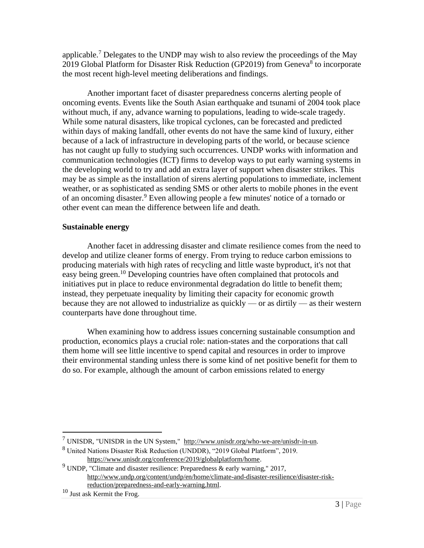applicable.<sup>7</sup> Delegates to the UNDP may wish to also review the proceedings of the May 2019 Global Platform for Disaster Risk Reduction (GP2019) from Geneva<sup>8</sup> to incorporate the most recent high-level meeting deliberations and findings.

Another important facet of disaster preparedness concerns alerting people of oncoming events. Events like the South Asian earthquake and tsunami of 2004 took place without much, if any, advance warning to populations, leading to wide-scale tragedy. While some natural disasters, like tropical cyclones, can be forecasted and predicted within days of making landfall, other events do not have the same kind of luxury, either because of a lack of infrastructure in developing parts of the world, or because science has not caught up fully to studying such occurrences. UNDP works with information and communication technologies (ICT) firms to develop ways to put early warning systems in the developing world to try and add an extra layer of support when disaster strikes. This may be as simple as the installation of sirens alerting populations to immediate, inclement weather, or as sophisticated as sending SMS or other alerts to mobile phones in the event of an oncoming disaster.<sup>9</sup> Even allowing people a few minutes' notice of a tornado or other event can mean the difference between life and death.

## **Sustainable energy**

Another facet in addressing disaster and climate resilience comes from the need to develop and utilize cleaner forms of energy. From trying to reduce carbon emissions to producing materials with high rates of recycling and little waste byproduct, it's not that easy being green.<sup>10</sup> Developing countries have often complained that protocols and initiatives put in place to reduce environmental degradation do little to benefit them; instead, they perpetuate inequality by limiting their capacity for economic growth because they are not allowed to industrialize as quickly — or as dirtily — as their western counterparts have done throughout time.

When examining how to address issues concerning sustainable consumption and production, economics plays a crucial role: nation-states and the corporations that call them home will see little incentive to spend capital and resources in order to improve their environmental standing unless there is some kind of net positive benefit for them to do so. For example, although the amount of carbon emissions related to energy

 $<sup>7</sup>$  UNISDR, "UNISDR in the UN System," [http://www.unisdr.org/who-we-are/unisdr-in-un.](http://www.unisdr.org/who-we-are/unisdr-in-un)</sup>

<sup>8</sup> United Nations Disaster Risk Reduction (UNDDR), "2019 Global Platform", 2019. [https://www.unisdr.org/conference/2019/globalplatform/home.](https://www.unisdr.org/conference/2019/globalplatform/home)

 $9$  UNDP, "Climate and disaster resilience: Preparedness & early warning," 2017, [http://www.undp.org/content/undp/en/home/climate-and-disaster-resilience/disaster-risk](http://www.undp.org/content/undp/en/home/climate-and-disaster-resilience/disaster-risk-reduction/preparedness-and-early-warning.html)[reduction/preparedness-and-early-warning.html.](http://www.undp.org/content/undp/en/home/climate-and-disaster-resilience/disaster-risk-reduction/preparedness-and-early-warning.html)

<sup>10</sup> Just ask Kermit the Frog.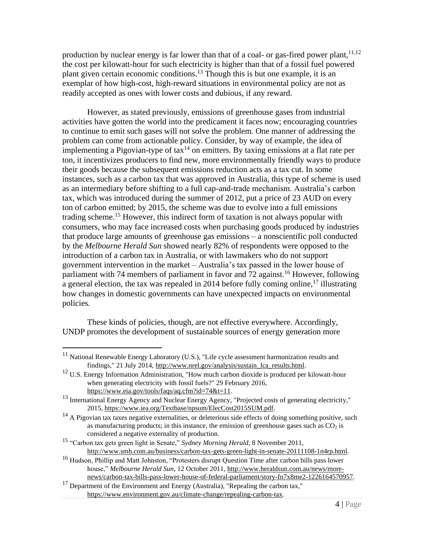production by nuclear energy is far lower than that of a coal- or gas-fired power plant,  $11,12$ the cost per kilowatt-hour for such electricity is higher than that of a fossil fuel powered plant given certain economic conditions.<sup>13</sup> Though this is but one example, it is an exemplar of how high-cost, high-reward situations in environmental policy are not as readily accepted as ones with lower costs and dubious, if any reward.

However, as stated previously, emissions of greenhouse gases from industrial activities have gotten the world into the predicament it faces now; encouraging countries to continue to emit such gases will not solve the problem. One manner of addressing the problem can come from actionable policy. Consider, by way of example, the idea of implementing a Pigovian-type of  $\text{tax}^{14}$  on emitters. By taxing emissions at a flat rate per ton, it incentivizes producers to find new, more environmentally friendly ways to produce their goods because the subsequent emissions reduction acts as a tax cut. In some instances, such as a carbon tax that was approved in Australia, this type of scheme is used as an intermediary before shifting to a full cap-and-trade mechanism. Australia's carbon tax, which was introduced during the summer of 2012, put a price of 23 AUD on every ton of carbon emitted; by 2015, the scheme was due to evolve into a full emissions trading scheme.<sup>15</sup> However, this indirect form of taxation is not always popular with consumers, who may face increased costs when purchasing goods produced by industries that produce large amounts of greenhouse gas emissions – a nonscientific poll conducted by the *Melbourne Herald Sun* showed nearly 82% of respondents were opposed to the introduction of a carbon tax in Australia, or with lawmakers who do not support government intervention in the market – Australia's tax passed in the lower house of parliament with 74 members of parliament in favor and  $\overline{72}$  against.<sup>16</sup> However, following a general election, the tax was repealed in 2014 before fully coming online,<sup>17</sup> illustrating how changes in domestic governments can have unexpected impacts on environmental policies.

These kinds of policies, though, are not effective everywhere. Accordingly, UNDP promotes the development of sustainable sources of energy generation more

<sup>&</sup>lt;sup>11</sup> National Renewable Energy Laboratory (U.S.), "Life cycle assessment harmonization results and findings," 21 July 2014[, http://www.nrel.gov/analysis/sustain\\_lca\\_results.html.](http://www.nrel.gov/analysis/sustain_lca_results.html)

<sup>&</sup>lt;sup>12</sup> U.S. Energy Information Administration, "How much carbon dioxide is produced per kilowatt-hour when generating electricity with fossil fuels?" 29 February 2016, [https://www.eia.gov/tools/faqs/aq.cfm?id=74&t=11.](https://www.eia.gov/tools/faqs/aq.cfm?id=74&t=11)

<sup>&</sup>lt;sup>13</sup> International Energy Agency and Nuclear Energy Agency, "Projected costs of generating electricity," 2015, [https://www.iea.org/Textbase/npsum/ElecCost2015SUM.pdf.](https://www.iea.org/Textbase/npsum/ElecCost2015SUM.pdf)

<sup>&</sup>lt;sup>14</sup> A Pigovian tax taxes negative externalities, or deleterious side effects of doing something positive, such as manufacturing products; in this instance, the emission of greenhouse gases such as  $CO<sub>2</sub>$  is considered a negative externality of production.

<sup>15</sup> "Carbon tax gets green light in Senate," *Sydney Morning Herald*, 8 November 2011, [http://www.smh.com.au/business/carbon-tax-gets-green-light-in-senate-20111108-1n4rp.html.](http://www.smh.com.au/business/carbon-tax-gets-green-light-in-senate-20111108-1n4rp.html)

<sup>16</sup> Hudson, Phillip and Matt Johnston, "Protesters disrupt Question Time after carbon bills pass lower house," *Melbourne Herald Sun*, 12 October 2011, [http://www.heraldsun.com.au/news/more](http://www.heraldsun.com.au/news/more-news/carbon-tax-bills-pass-lower-house-of-federal-parliament/story-fn7x8me2-1226164570957)[news/carbon-tax-bills-pass-lower-house-of-federal-parliament/story-fn7x8me2-1226164570957.](http://www.heraldsun.com.au/news/more-news/carbon-tax-bills-pass-lower-house-of-federal-parliament/story-fn7x8me2-1226164570957)

 $17$  Department of the Environment and Energy (Australia), "Repealing the carbon tax," [https://www.environment.gov.au/climate-change/repealing-carbon-tax.](https://www.environment.gov.au/climate-change/repealing-carbon-tax)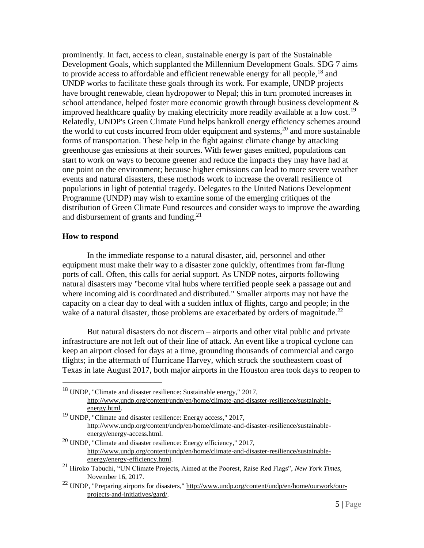prominently. In fact, access to clean, sustainable energy is part of the Sustainable Development Goals, which supplanted the Millennium Development Goals. SDG 7 aims to provide access to affordable and efficient renewable energy for all people,<sup>18</sup> and UNDP works to facilitate these goals through its work. For example, UNDP projects have brought renewable, clean hydropower to Nepal; this in turn promoted increases in school attendance, helped foster more economic growth through business development & improved healthcare quality by making electricity more readily available at a low cost.<sup>19</sup> Relatedly, UNDP's Green Climate Fund helps bankroll energy efficiency schemes around the world to cut costs incurred from older equipment and systems,  $2<sup>0</sup>$  and more sustainable forms of transportation. These help in the fight against climate change by attacking greenhouse gas emissions at their sources. With fewer gases emitted, populations can start to work on ways to become greener and reduce the impacts they may have had at one point on the environment; because higher emissions can lead to more severe weather events and natural disasters, these methods work to increase the overall resilience of populations in light of potential tragedy. Delegates to the United Nations Development Programme (UNDP) may wish to examine some of the emerging critiques of the distribution of Green Climate Fund resources and consider ways to improve the awarding and disbursement of grants and funding.<sup>21</sup>

#### **How to respond**

In the immediate response to a natural disaster, aid, personnel and other equipment must make their way to a disaster zone quickly, oftentimes from far-flung ports of call. Often, this calls for aerial support. As UNDP notes, airports following natural disasters may "become vital hubs where terrified people seek a passage out and where incoming aid is coordinated and distributed." Smaller airports may not have the capacity on a clear day to deal with a sudden influx of flights, cargo and people; in the wake of a natural disaster, those problems are exacerbated by orders of magnitude.<sup>22</sup>

But natural disasters do not discern – airports and other vital public and private infrastructure are not left out of their line of attack. An event like a tropical cyclone can keep an airport closed for days at a time, grounding thousands of commercial and cargo flights; in the aftermath of Hurricane Harvey, which struck the southeastern coast of Texas in late August 2017, both major airports in the Houston area took days to reopen to

<sup>18</sup> UNDP, "Climate and disaster resilience: Sustainable energy," 2017, [http://www.undp.org/content/undp/en/home/climate-and-disaster-resilience/sustainable](http://www.undp.org/content/undp/en/home/climate-and-disaster-resilience/sustainable-energy.html)[energy.html.](http://www.undp.org/content/undp/en/home/climate-and-disaster-resilience/sustainable-energy.html) <sup>19</sup> UNDP, "Climate and disaster resilience: Energy access," 2017,

[http://www.undp.org/content/undp/en/home/climate-and-disaster-resilience/sustainable](http://www.undp.org/content/undp/en/home/climate-and-disaster-resilience/sustainable-energy/energy-access.html)[energy/energy-access.html.](http://www.undp.org/content/undp/en/home/climate-and-disaster-resilience/sustainable-energy/energy-access.html)

 $20$  UNDP, "Climate and disaster resilience: Energy efficiency," 2017, [http://www.undp.org/content/undp/en/home/climate-and-disaster-resilience/sustainable](http://www.undp.org/content/undp/en/home/climate-and-disaster-resilience/sustainable-energy/energy-efficiency.html)[energy/energy-efficiency.html.](http://www.undp.org/content/undp/en/home/climate-and-disaster-resilience/sustainable-energy/energy-efficiency.html) 

<sup>21</sup> Hiroko Tabuchi, "UN Climate Projects, Aimed at the Poorest, Raise Red Flags", *New York Times*, November 16, 2017.

<sup>&</sup>lt;sup>22</sup> UNDP, "Preparing airports for disasters," [http://www.undp.org/content/undp/en/home/ourwork/our](http://www.undp.org/content/undp/en/home/ourwork/our-projects-and-initiatives/gard/)[projects-and-initiatives/gard/.](http://www.undp.org/content/undp/en/home/ourwork/our-projects-and-initiatives/gard/)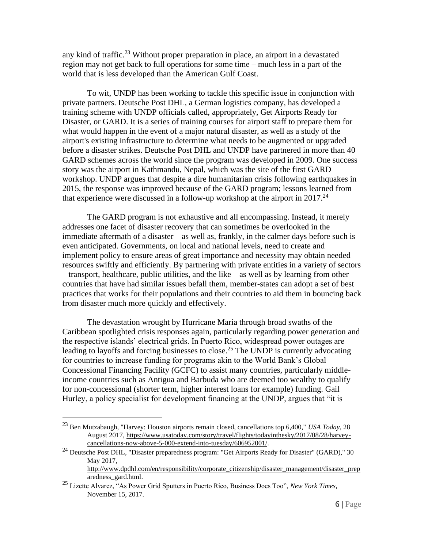any kind of traffic.<sup>23</sup> Without proper preparation in place, an airport in a devastated region may not get back to full operations for some time – much less in a part of the world that is less developed than the American Gulf Coast.

To wit, UNDP has been working to tackle this specific issue in conjunction with private partners. Deutsche Post DHL, a German logistics company, has developed a training scheme with UNDP officials called, appropriately, Get Airports Ready for Disaster, or GARD. It is a series of training courses for airport staff to prepare them for what would happen in the event of a major natural disaster, as well as a study of the airport's existing infrastructure to determine what needs to be augmented or upgraded before a disaster strikes. Deutsche Post DHL and UNDP have partnered in more than 40 GARD schemes across the world since the program was developed in 2009. One success story was the airport in Kathmandu, Nepal, which was the site of the first GARD workshop. UNDP argues that despite a dire humanitarian crisis following earthquakes in 2015, the response was improved because of the GARD program; lessons learned from that experience were discussed in a follow-up workshop at the airport in  $2017<sup>24</sup>$ 

The GARD program is not exhaustive and all encompassing. Instead, it merely addresses one facet of disaster recovery that can sometimes be overlooked in the immediate aftermath of a disaster – as well as, frankly, in the calmer days before such is even anticipated. Governments, on local and national levels, need to create and implement policy to ensure areas of great importance and necessity may obtain needed resources swiftly and efficiently. By partnering with private entities in a variety of sectors – transport, healthcare, public utilities, and the like – as well as by learning from other countries that have had similar issues befall them, member-states can adopt a set of best practices that works for their populations and their countries to aid them in bouncing back from disaster much more quickly and effectively.

The devastation wrought by Hurricane María through broad swaths of the Caribbean spotlighted crisis responses again, particularly regarding power generation and the respective islands' electrical grids. In Puerto Rico, widespread power outages are leading to layoffs and forcing businesses to close.<sup>25</sup> The UNDP is currently advocating for countries to increase funding for programs akin to the World Bank's Global Concessional Financing Facility (GCFC) to assist many countries, particularly middleincome countries such as Antigua and Barbuda who are deemed too wealthy to qualify for non-concessional (shorter term, higher interest loans for example) funding. Gail Hurley, a policy specialist for development financing at the UNDP, argues that "it is

<sup>23</sup> Ben Mutzabaugh, "Harvey: Houston airports remain closed, cancellations top 6,400," *USA Today*, 28 August 2017, [https://www.usatoday.com/story/travel/flights/todayinthesky/2017/08/28/harvey](https://www.usatoday.com/story/travel/flights/todayinthesky/2017/08/28/harvey-cancellations-now-above-5-000-extend-into-tuesday/606952001/)[cancellations-now-above-5-000-extend-into-tuesday/606952001/.](https://www.usatoday.com/story/travel/flights/todayinthesky/2017/08/28/harvey-cancellations-now-above-5-000-extend-into-tuesday/606952001/)

<sup>&</sup>lt;sup>24</sup> Deutsche Post DHL, "Disaster preparedness program: "Get Airports Ready for Disaster" (GARD)," 30 May 2017,

[http://www.dpdhl.com/en/responsibility/corporate\\_citizenship/disaster\\_management/disaster\\_prep](http://www.dpdhl.com/en/responsibility/corporate_citizenship/disaster_management/disaster_preparedness_gard.html) [aredness\\_gard.html.](http://www.dpdhl.com/en/responsibility/corporate_citizenship/disaster_management/disaster_preparedness_gard.html)

<sup>25</sup> Lizette Alvarez, "As Power Grid Sputters in Puerto Rico, Business Does Too", *New York Times*, November 15, 2017.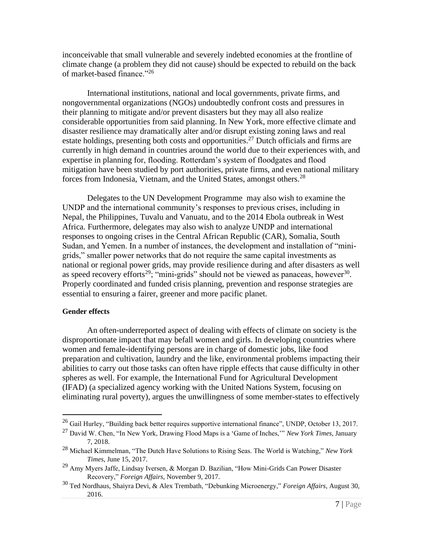inconceivable that small vulnerable and severely indebted economies at the frontline of climate change (a problem they did not cause) should be expected to rebuild on the back of market-based finance."<sup>26</sup>

International institutions, national and local governments, private firms, and nongovernmental organizations (NGOs) undoubtedly confront costs and pressures in their planning to mitigate and/or prevent disasters but they may all also realize considerable opportunities from said planning. In New York, more effective climate and disaster resilience may dramatically alter and/or disrupt existing zoning laws and real estate holdings, presenting both costs and opportunities.<sup>27</sup> Dutch officials and firms are currently in high demand in countries around the world due to their experiences with, and expertise in planning for, flooding. Rotterdam's system of floodgates and flood mitigation have been studied by port authorities, private firms, and even national military forces from Indonesia, Vietnam, and the United States, amongst others.<sup>28</sup>

Delegates to the UN Development Programme may also wish to examine the UNDP and the international community's responses to previous crises, including in Nepal, the Philippines, Tuvalu and Vanuatu, and to the 2014 Ebola outbreak in West Africa. Furthermore, delegates may also wish to analyze UNDP and international responses to ongoing crises in the Central African Republic (CAR), Somalia, South Sudan, and Yemen. In a number of instances, the development and installation of "minigrids," smaller power networks that do not require the same capital investments as national or regional power grids, may provide resilience during and after disasters as well as speed recovery efforts<sup>29</sup>; "mini-grids" should not be viewed as panaceas, however<sup>30</sup>. Properly coordinated and funded crisis planning, prevention and response strategies are essential to ensuring a fairer, greener and more pacific planet.

#### **Gender effects**

An often-underreported aspect of dealing with effects of climate on society is the disproportionate impact that may befall women and girls. In developing countries where women and female-identifying persons are in charge of domestic jobs, like food preparation and cultivation, laundry and the like, environmental problems impacting their abilities to carry out those tasks can often have ripple effects that cause difficulty in other spheres as well. For example, the International Fund for Agricultural Development (IFAD) (a specialized agency working with the United Nations System, focusing on eliminating rural poverty), argues the unwillingness of some member-states to effectively

 $^{26}$  Gail Hurley, "Building back better requires supportive international finance", UNDP, October 13, 2017.

<sup>27</sup> David W. Chen, "In New York, Drawing Flood Maps is a 'Game of Inches,'" *New York Times*, January 7, 2018.

<sup>28</sup> Michael Kimmelman, "The Dutch Have Solutions to Rising Seas. The World is Watching," *New York Times*, June 15, 2017.

<sup>29</sup> Amy Myers Jaffe, Lindsay Iversen, & Morgan D. Bazilian, "How Mini-Grids Can Power Disaster Recovery," *Foreign Affairs*, November 9, 2017.

<sup>30</sup> Ted Nordhaus, Shaiyra Devi, & Alex Trembath, "Debunking Microenergy," *Foreign Affairs*, August 30, 2016.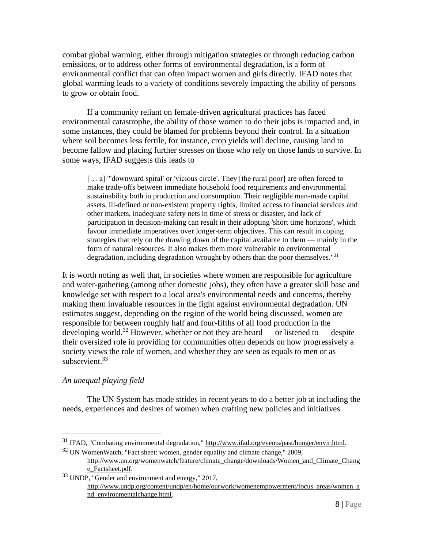combat global warming, either through mitigation strategies or through reducing carbon emissions, or to address other forms of environmental degradation, is a form of environmental conflict that can often impact women and girls directly. IFAD notes that global warming leads to a variety of conditions severely impacting the ability of persons to grow or obtain food.

If a community reliant on female-driven agricultural practices has faced environmental catastrophe, the ability of those women to do their jobs is impacted and, in some instances, they could be blamed for problems beyond their control. In a situation where soil becomes less fertile, for instance, crop yields will decline, causing land to become fallow and placing further stresses on those who rely on those lands to survive. In some ways, IFAD suggests this leads to

[... a] "'downward spiral' or 'vicious circle'. They [the rural poor] are often forced to make trade-offs between immediate household food requirements and environmental sustainability both in production and consumption. Their negligible man-made capital assets, ill-defined or non-existent property rights, limited access to financial services and other markets, inadequate safety nets in time of stress or disaster, and lack of participation in decision-making can result in their adopting 'short time horizons', which favour immediate imperatives over longer-term objectives. This can result in coping strategies that rely on the drawing down of the capital available to them — mainly in the form of natural resources. It also makes them more vulnerable to environmental degradation, including degradation wrought by others than the poor themselves."<sup>31</sup>

It is worth noting as well that, in societies where women are responsible for agriculture and water-gathering (among other domestic jobs), they often have a greater skill base and knowledge set with respect to a local area's environmental needs and concerns, thereby making them invaluable resources in the fight against environmental degradation. UN estimates suggest, depending on the region of the world being discussed, women are responsible for between roughly half and four-fifths of all food production in the developing world.<sup>32</sup> However, whether or not they are heard — or listened to — despite their oversized role in providing for communities often depends on how progressively a society views the role of women, and whether they are seen as equals to men or as subservient. $33$ 

### *An unequal playing field*

The UN System has made strides in recent years to do a better job at including the needs, experiences and desires of women when crafting new policies and initiatives.

<sup>&</sup>lt;sup>31</sup> IFAD, "Combating environmental degradation,[" http://www.ifad.org/events/past/hunger/envir.html.](http://www.ifad.org/events/past/hunger/envir.html)

<sup>32</sup> UN WomenWatch, "Fact sheet: women, gender equality and climate change," 2009, [http://www.un.org/womenwatch/feature/climate\\_change/downloads/Women\\_and\\_Climate\\_Chang](http://www.un.org/womenwatch/feature/climate_change/downloads/Women_and_Climate_Change_Factsheet.pdf) [e\\_Factsheet.pdf.](http://www.un.org/womenwatch/feature/climate_change/downloads/Women_and_Climate_Change_Factsheet.pdf)

<sup>33</sup> UNDP, "Gender and environment and energy," 2017, [http://www.undp.org/content/undp/en/home/ourwork/womenempowerment/focus\\_areas/women\\_a](http://www.undp.org/content/undp/en/home/ourwork/womenempowerment/focus_areas/women_and_environmentalchange.html) [nd\\_environmentalchange.html.](http://www.undp.org/content/undp/en/home/ourwork/womenempowerment/focus_areas/women_and_environmentalchange.html)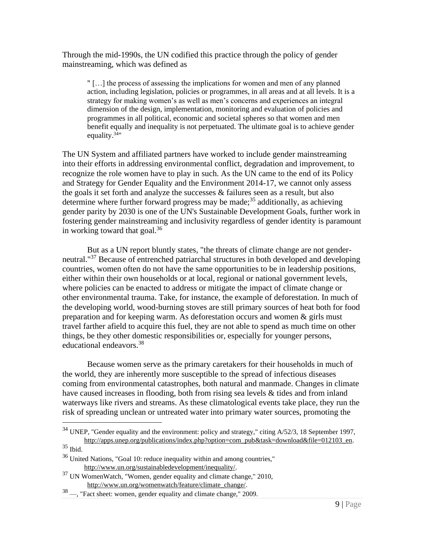Through the mid-1990s, the UN codified this practice through the policy of gender mainstreaming, which was defined as

" […] the process of assessing the implications for women and men of any planned action, including legislation, policies or programmes, in all areas and at all levels. It is a strategy for making women's as well as men's concerns and experiences an integral dimension of the design, implementation, monitoring and evaluation of policies and programmes in all political, economic and societal spheres so that women and men benefit equally and inequality is not perpetuated. The ultimate goal is to achieve gender equality.<sup>34</sup>"

The UN System and affiliated partners have worked to include gender mainstreaming into their efforts in addressing environmental conflict, degradation and improvement, to recognize the role women have to play in such. As the UN came to the end of its Policy and Strategy for Gender Equality and the Environment 2014-17, we cannot only assess the goals it set forth and analyze the successes & failures seen as a result, but also determine where further forward progress may be made;<sup>35</sup> additionally, as achieving gender parity by 2030 is one of the UN's Sustainable Development Goals, further work in fostering gender mainstreaming and inclusivity regardless of gender identity is paramount in working toward that goal. $36$ 

But as a UN report bluntly states, "the threats of climate change are not genderneutral."<sup>37</sup> Because of entrenched patriarchal structures in both developed and developing countries, women often do not have the same opportunities to be in leadership positions, either within their own households or at local, regional or national government levels, where policies can be enacted to address or mitigate the impact of climate change or other environmental trauma. Take, for instance, the example of deforestation. In much of the developing world, wood-burning stoves are still primary sources of heat both for food preparation and for keeping warm. As deforestation occurs and women & girls must travel farther afield to acquire this fuel, they are not able to spend as much time on other things, be they other domestic responsibilities or, especially for younger persons, educational endeavors.<sup>38</sup>

Because women serve as the primary caretakers for their households in much of the world, they are inherently more susceptible to the spread of infectious diseases coming from environmental catastrophes, both natural and manmade. Changes in climate have caused increases in flooding, both from rising sea levels & tides and from inland waterways like rivers and streams. As these climatological events take place, they run the risk of spreading unclean or untreated water into primary water sources, promoting the

<sup>&</sup>lt;sup>34</sup> UNEP, "Gender equality and the environment: policy and strategy," citing A/52/3, 18 September 1997, [http://apps.unep.org/publications/index.php?option=com\\_pub&task=download&file=012103\\_en.](http://apps.unep.org/publications/index.php?option=com_pub&task=download&file=012103_en)

<sup>35</sup> Ibid.

<sup>&</sup>lt;sup>36</sup> United Nations, "Goal 10: reduce inequality within and among countries," [http://www.un.org/sustainabledevelopment/inequality/.](http://www.un.org/sustainabledevelopment/inequality/)

 $37$  UN WomenWatch, "Women, gender equality and climate change," 2010, [http://www.un.org/womenwatch/feature/climate\\_change/.](http://www.un.org/womenwatch/feature/climate_change/)

<sup>38</sup> —, "Fact sheet: women, gender equality and climate change," 2009.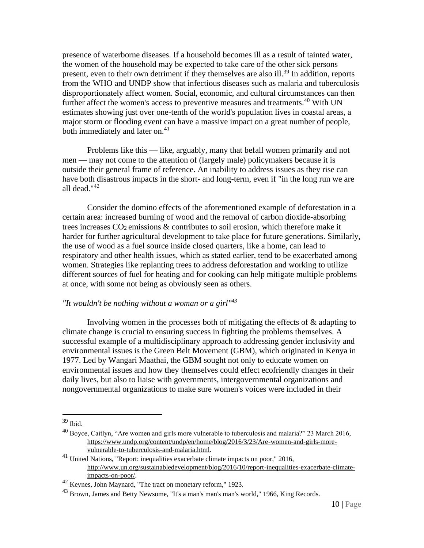presence of waterborne diseases. If a household becomes ill as a result of tainted water, the women of the household may be expected to take care of the other sick persons present, even to their own detriment if they themselves are also ill.<sup>39</sup> In addition, reports from the WHO and UNDP show that infectious diseases such as malaria and tuberculosis disproportionately affect women. Social, economic, and cultural circumstances can then further affect the women's access to preventive measures and treatments.<sup>40</sup> With UN estimates showing just over one-tenth of the world's population lives in coastal areas, a major storm or flooding event can have a massive impact on a great number of people, both immediately and later on.<sup>41</sup>

Problems like this — like, arguably, many that befall women primarily and not men — may not come to the attention of (largely male) policymakers because it is outside their general frame of reference. An inability to address issues as they rise can have both disastrous impacts in the short- and long-term, even if "in the long run we are all dead."<sup>42</sup>

Consider the domino effects of the aforementioned example of deforestation in a certain area: increased burning of wood and the removal of carbon dioxide-absorbing trees increases  $CO<sub>2</sub>$  emissions & contributes to soil erosion, which therefore make it harder for further agricultural development to take place for future generations. Similarly, the use of wood as a fuel source inside closed quarters, like a home, can lead to respiratory and other health issues, which as stated earlier, tend to be exacerbated among women. Strategies like replanting trees to address deforestation and working to utilize different sources of fuel for heating and for cooking can help mitigate multiple problems at once, with some not being as obviously seen as others.

#### *"It wouldn't be nothing without a woman or a girl"<sup>43</sup>*

Involving women in the processes both of mitigating the effects of  $\&$  adapting to climate change is crucial to ensuring success in fighting the problems themselves. A successful example of a multidisciplinary approach to addressing gender inclusivity and environmental issues is the Green Belt Movement (GBM), which originated in Kenya in 1977. Led by Wangari Maathai, the GBM sought not only to educate women on environmental issues and how they themselves could effect ecofriendly changes in their daily lives, but also to liaise with governments, intergovernmental organizations and nongovernmental organizations to make sure women's voices were included in their

<sup>39</sup> Ibid.

<sup>&</sup>lt;sup>40</sup> Boyce, Caitlyn, "Are women and girls more vulnerable to tuberculosis and malaria?" 23 March 2016, [https://www.undp.org/content/undp/en/home/blog/2016/3/23/Are-women-and-girls-more](https://www.undp.org/content/undp/en/home/blog/2016/3/23/Are-women-and-girls-more-vulnerable-to-tuberculosis-and-malaria.html)[vulnerable-to-tuberculosis-and-malaria.html.](https://www.undp.org/content/undp/en/home/blog/2016/3/23/Are-women-and-girls-more-vulnerable-to-tuberculosis-and-malaria.html)

<sup>41</sup> United Nations, "Report: inequalities exacerbate climate impacts on poor," 2016, [http://www.un.org/sustainabledevelopment/blog/2016/10/report-inequalities-exacerbate-climate](http://www.un.org/sustainabledevelopment/blog/2016/10/report-inequalities-exacerbate-climate-impacts-on-poor/)[impacts-on-poor/.](http://www.un.org/sustainabledevelopment/blog/2016/10/report-inequalities-exacerbate-climate-impacts-on-poor/)

<sup>42</sup> Keynes, John Maynard, "The tract on monetary reform," 1923.

 $^{43}$  Brown, James and Betty Newsome, "It's a man's man's man's world," 1966, King Records.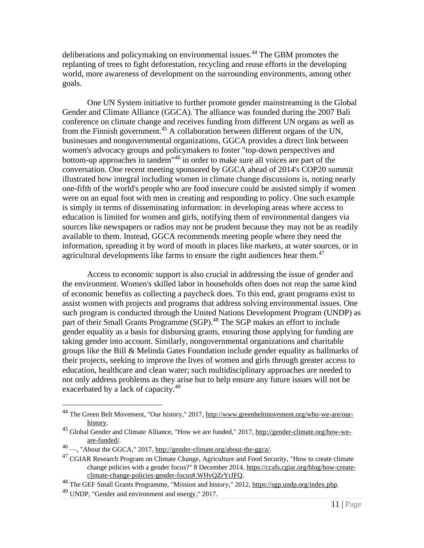deliberations and policymaking on environmental issues.<sup>44</sup> The GBM promotes the replanting of trees to fight deforestation, recycling and reuse efforts in the developing world, more awareness of development on the surrounding environments, among other goals.

One UN System initiative to further promote gender mainstreaming is the Global Gender and Climate Alliance (GGCA). The alliance was founded during the 2007 Bali conference on climate change and receives funding from different UN organs as well as from the Finnish government.<sup>45</sup> A collaboration between different organs of the UN, businesses and nongovernmental organizations, GGCA provides a direct link between women's advocacy groups and policymakers to foster "top-down perspectives and bottom-up approaches in tandem<sup>46</sup> in order to make sure all voices are part of the conversation. One recent meeting sponsored by GGCA ahead of 2014's COP20 summit illustrated how integral including women in climate change discussions is, noting nearly one-fifth of the world's people who are food insecure could be assisted simply if women were on an equal foot with men in creating and responding to policy. One such example is simply in terms of disseminating information: in developing areas where access to education is limited for women and girls, notifying them of environmental dangers via sources like newspapers or radios may not be prudent because they may not be as readily available to them. Instead, GGCA recommends meeting people where they need the information, spreading it by word of mouth in places like markets, at water sources, or in agricultural developments like farms to ensure the right audiences hear them.<sup>47</sup>

Access to economic support is also crucial in addressing the issue of gender and the environment. Women's skilled labor in households often does not reap the same kind of economic benefits as collecting a paycheck does. To this end, grant programs exist to assist women with projects and programs that address solving environmental issues. One such program is conducted through the United Nations Development Program (UNDP) as part of their Small Grants Programme (SGP).<sup>48</sup> The SGP makes an effort to include gender equality as a basis for disbursing grants, ensuring those applying for funding are taking gender into account. Similarly, nongovernmental organizations and charitable groups like the Bill & Melinda Gates Foundation include gender equality as hallmarks of their projects, seeking to improve the lives of women and girls through greater access to education, healthcare and clean water; such multidisciplinary approaches are needed to not only address problems as they arise but to help ensure any future issues will not be exacerbated by a lack of capacity.<sup>49</sup>

<sup>44</sup> The Green Belt Movement, "Our history," 2017, [http://www.greenbeltmovement.org/who-we-are/our](http://www.greenbeltmovement.org/who-we-are/our-history)[history.](http://www.greenbeltmovement.org/who-we-are/our-history)

<sup>&</sup>lt;sup>45</sup> Global Gender and Climate Alliance, "How we are funded," 2017, [http://gender-climate.org/how-we](http://gender-climate.org/how-we-are-funded/)[are-funded/.](http://gender-climate.org/how-we-are-funded/)

<sup>&</sup>lt;sup>46</sup> —, "About the GGCA," 2017, [http://gender-climate.org/about-the-ggca/.](http://gender-climate.org/about-the-ggca/)

 $^{47}$  CGIAR Research Program on Climate Change, Agriculture and Food Security, "How to create climate change policies with a gender focus?" 8 December 2014, [https://ccafs.cgiar.org/blog/how-create](https://ccafs.cgiar.org/blog/how-create-climate-change-policies-gender-focus%23.WHvQZrYrJFQ)[climate-change-policies-gender-focus#.WHvQZrYrJFQ.](https://ccafs.cgiar.org/blog/how-create-climate-change-policies-gender-focus%23.WHvQZrYrJFQ)

<sup>48</sup> The GEF Small Grants Programme, "Mission and history," 2012[, https://sgp.undp.org/index.php.](https://sgp.undp.org/index.php)

<sup>49</sup> UNDP, "Gender and environment and energy," 2017.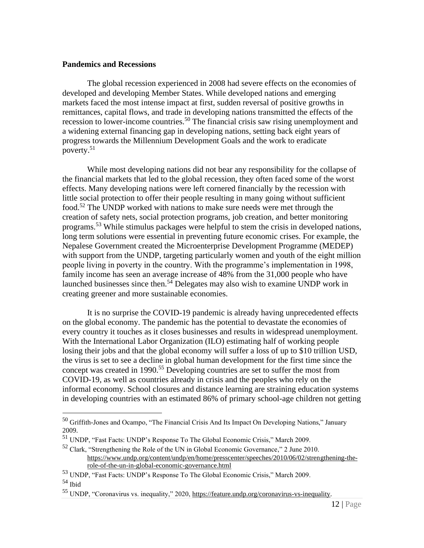#### **Pandemics and Recessions**

The global recession experienced in 2008 had severe effects on the economies of developed and developing Member States. While developed nations and emerging markets faced the most intense impact at first, sudden reversal of positive growths in remittances, capital flows, and trade in developing nations transmitted the effects of the recession to lower-income countries.<sup>50</sup> The financial crisis saw rising unemployment and a widening external financing gap in developing nations, setting back eight years of progress towards the Millennium Development Goals and the work to eradicate poverty. $51$ 

While most developing nations did not bear any responsibility for the collapse of the financial markets that led to the global recession, they often faced some of the worst effects. Many developing nations were left cornered financially by the recession with little social protection to offer their people resulting in many going without sufficient food.<sup>52</sup> The UNDP worked with nations to make sure needs were met through the creation of safety nets, social protection programs, job creation, and better monitoring programs.<sup>53</sup> While stimulus packages were helpful to stem the crisis in developed nations, long term solutions were essential in preventing future economic crises. For example, the Nepalese Government created the Microenterprise Development Programme (MEDEP) with support from the UNDP, targeting particularly women and youth of the eight million people living in poverty in the country. With the programme's implementation in 1998, family income has seen an average increase of 48% from the 31,000 people who have launched businesses since then.<sup>54</sup> Delegates may also wish to examine UNDP work in creating greener and more sustainable economies.

It is no surprise the COVID-19 pandemic is already having unprecedented effects on the global economy. The pandemic has the potential to devastate the economies of every country it touches as it closes businesses and results in widespread unemployment. With the International Labor Organization (ILO) estimating half of working people losing their jobs and that the global economy will suffer a loss of up to \$10 trillion USD, the virus is set to see a decline in global human development for the first time since the concept was created in 1990.<sup>55</sup> Developing countries are set to suffer the most from COVID-19, as well as countries already in crisis and the peoples who rely on the informal economy. School closures and distance learning are straining education systems in developing countries with an estimated 86% of primary school-age children not getting

<sup>50</sup> Griffith-Jones and Ocampo, "The Financial Crisis And Its Impact On Developing Nations," January 2009.

<sup>51</sup> UNDP, "Fast Facts: UNDP's Response To The Global Economic Crisis," March 2009.

<sup>52</sup> Clark, "Strengthening the Role of the UN in Global Economic Governance," 2 June 2010. [https://www.undp.org/content/undp/en/home/presscenter/speeches/2010/06/02/strengthening-the](https://www.undp.org/content/undp/en/home/presscenter/speeches/2010/06/02/strengthening-the-role-of-the-un-in-global-economic-governance.html)[role-of-the-un-in-global-economic-governance.html](https://www.undp.org/content/undp/en/home/presscenter/speeches/2010/06/02/strengthening-the-role-of-the-un-in-global-economic-governance.html)

<sup>53</sup> UNDP, "Fast Facts: UNDP's Response To The Global Economic Crisis," March 2009.

<sup>54</sup> Ibid

<sup>55</sup> UNDP, "Coronavirus vs. inequality," 2020[, https://feature.undp.org/coronavirus-vs-inequality.](https://feature.undp.org/coronavirus-vs-inequality/?utm_source=social&utm_medium=undp&utm_campaign=covid19-inequality)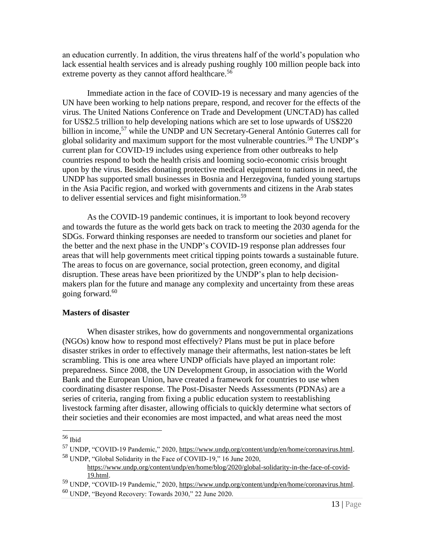an education currently. In addition, the virus threatens half of the world's population who lack essential health services and is already pushing roughly 100 million people back into extreme poverty as they cannot afford healthcare.<sup>56</sup>

Immediate action in the face of COVID-19 is necessary and many agencies of the UN have been working to help nations prepare, respond, and recover for the effects of the virus. The United Nations Conference on Trade and Development (UNCTAD) has called for US\$2.5 trillion to help developing nations which are set to lose upwards of US\$220 billion in income,<sup>57</sup> while the UNDP and UN Secretary-General António Guterres call for global solidarity and maximum support for the most vulnerable countries.<sup>58</sup> The UNDP's current plan for COVID-19 includes using experience from other outbreaks to help countries respond to both the health crisis and looming socio-economic crisis brought upon by the virus. Besides donating protective medical equipment to nations in need, the UNDP has supported small businesses in Bosnia and Herzegovina, funded young startups in the Asia Pacific region, and worked with governments and citizens in the Arab states to deliver essential services and fight misinformation.<sup>59</sup>

As the COVID-19 pandemic continues, it is important to look beyond recovery and towards the future as the world gets back on track to meeting the 2030 agenda for the SDGs. Forward thinking responses are needed to transform our societies and planet for the better and the next phase in the UNDP's COVID-19 response plan addresses four areas that will help governments meet critical tipping points towards a sustainable future. The areas to focus on are governance, social protection, green economy, and digital disruption. These areas have been prioritized by the UNDP's plan to help decisionmakers plan for the future and manage any complexity and uncertainty from these areas going forward. $60$ 

### **Masters of disaster**

When disaster strikes, how do governments and nongovernmental organizations (NGOs) know how to respond most effectively? Plans must be put in place before disaster strikes in order to effectively manage their aftermaths, lest nation-states be left scrambling. This is one area where UNDP officials have played an important role: preparedness. Since 2008, the UN Development Group, in association with the World Bank and the European Union, have created a framework for countries to use when coordinating disaster response. The Post-Disaster Needs Assessments (PDNAs) are a series of criteria, ranging from fixing a public education system to reestablishing livestock farming after disaster, allowing officials to quickly determine what sectors of their societies and their economies are most impacted, and what areas need the most

<sup>56</sup> Ibid

<sup>57</sup> UNDP, "COVID-19 Pandemic," 2020[, https://www.undp.org/content/undp/en/home/coronavirus.html.](https://www.undp.org/content/undp/en/home/coronavirus.html) <sup>58</sup> UNDP, "Global Solidarity in the Face of COVID-19," 16 June 2020,

[https://www.undp.org/content/undp/en/home/blog/2020/global-solidarity-in-the-face-of-covid-](https://www.undp.org/content/undp/en/home/blog/2020/global-solidarity-in-the-face-of-covid-19.html)[19.html.](https://www.undp.org/content/undp/en/home/blog/2020/global-solidarity-in-the-face-of-covid-19.html)

<sup>59</sup> UNDP, "COVID-19 Pandemic," 2020[, https://www.undp.org/content/undp/en/home/coronavirus.html.](https://www.undp.org/content/undp/en/home/coronavirus.html) <sup>60</sup> UNDP, "Beyond Recovery: Towards 2030," 22 June 2020.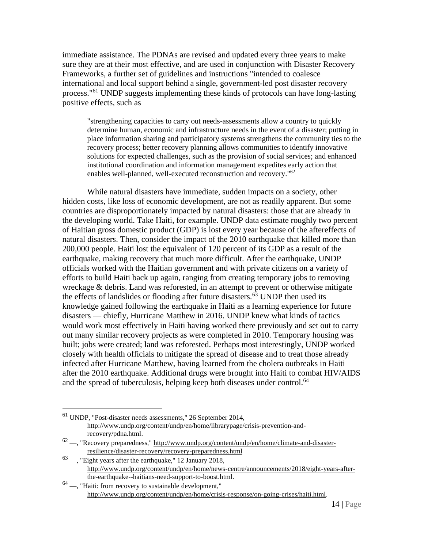immediate assistance. The PDNAs are revised and updated every three years to make sure they are at their most effective, and are used in conjunction with Disaster Recovery Frameworks, a further set of guidelines and instructions "intended to coalesce international and local support behind a single, government-led post disaster recovery process."<sup>61</sup> UNDP suggests implementing these kinds of protocols can have long-lasting positive effects, such as

"strengthening capacities to carry out needs-assessments allow a country to quickly determine human, economic and infrastructure needs in the event of a disaster; putting in place information sharing and participatory systems strengthens the community ties to the recovery process; better recovery planning allows communities to identify innovative solutions for expected challenges, such as the provision of social services; and enhanced institutional coordination and information management expedites early action that enables well-planned, well-executed reconstruction and recovery."<sup>62</sup>

While natural disasters have immediate, sudden impacts on a society, other hidden costs, like loss of economic development, are not as readily apparent. But some countries are disproportionately impacted by natural disasters: those that are already in the developing world. Take Haiti, for example. UNDP data estimate roughly two percent of Haitian gross domestic product (GDP) is lost every year because of the aftereffects of natural disasters. Then, consider the impact of the 2010 earthquake that killed more than 200,000 people. Haiti lost the equivalent of 120 percent of its GDP as a result of the earthquake, making recovery that much more difficult. After the earthquake, UNDP officials worked with the Haitian government and with private citizens on a variety of efforts to build Haiti back up again, ranging from creating temporary jobs to removing wreckage & debris. Land was reforested, in an attempt to prevent or otherwise mitigate the effects of landslides or flooding after future disasters. $63$  UNDP then used its knowledge gained following the earthquake in Haiti as a learning experience for future disasters — chiefly, Hurricane Matthew in 2016. UNDP knew what kinds of tactics would work most effectively in Haiti having worked there previously and set out to carry out many similar recovery projects as were completed in 2010. Temporary housing was built; jobs were created; land was reforested. Perhaps most interestingly, UNDP worked closely with health officials to mitigate the spread of disease and to treat those already infected after Hurricane Matthew, having learned from the cholera outbreaks in Haiti after the 2010 earthquake. Additional drugs were brought into Haiti to combat HIV/AIDS and the spread of tuberculosis, helping keep both diseases under control.<sup>64</sup>

<sup>61</sup> UNDP, "Post-disaster needs assessments," 26 September 2014, [http://www.undp.org/content/undp/en/home/librarypage/crisis-prevention-and](http://www.undp.org/content/undp/en/home/librarypage/crisis-prevention-and-recovery/pdna.html)[recovery/pdna.html.](http://www.undp.org/content/undp/en/home/librarypage/crisis-prevention-and-recovery/pdna.html)

 $62 -$ , "Recovery preparedness,[" http://www.undp.org/content/undp/en/home/climate-and-disaster](http://www.undp.org/content/undp/en/home/climate-and-disaster-resilience/disaster-recovery/recovery-preparedness.html)[resilience/disaster-recovery/recovery-preparedness.html](http://www.undp.org/content/undp/en/home/climate-and-disaster-resilience/disaster-recovery/recovery-preparedness.html)

 $63$  —, "Eight years after the earthquake," 12 January 2018, [http://www.undp.org/content/undp/en/home/news-centre/announcements/2018/eight-years-after](http://www.undp.org/content/undp/en/home/news-centre/announcements/2018/eight-years-after-the-earthquake--haitians-need-support-to-boost.html)[the-earthquake--haitians-need-support-to-boost.html.](http://www.undp.org/content/undp/en/home/news-centre/announcements/2018/eight-years-after-the-earthquake--haitians-need-support-to-boost.html)

 $64$  —, "Haiti: from recovery to sustainable development," [http://www.undp.org/content/undp/en/home/crisis-response/on-going-crises/haiti.html.](http://www.undp.org/content/undp/en/home/crisis-response/on-going-crises/haiti.html)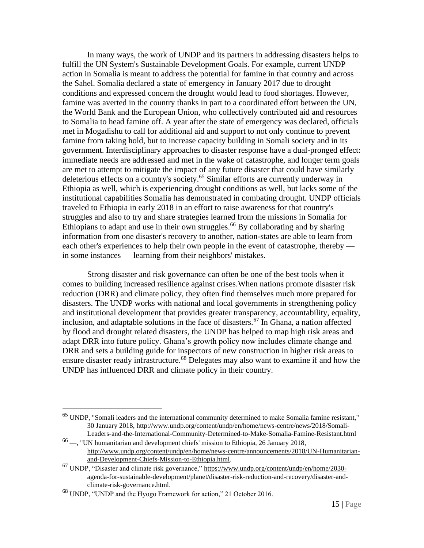In many ways, the work of UNDP and its partners in addressing disasters helps to fulfill the UN System's Sustainable Development Goals. For example, current UNDP action in Somalia is meant to address the potential for famine in that country and across the Sahel. Somalia declared a state of emergency in January 2017 due to drought conditions and expressed concern the drought would lead to food shortages. However, famine was averted in the country thanks in part to a coordinated effort between the UN, the World Bank and the European Union, who collectively contributed aid and resources to Somalia to head famine off. A year after the state of emergency was declared, officials met in Mogadishu to call for additional aid and support to not only continue to prevent famine from taking hold, but to increase capacity building in Somali society and in its government. Interdisciplinary approaches to disaster response have a dual-pronged effect: immediate needs are addressed and met in the wake of catastrophe, and longer term goals are met to attempt to mitigate the impact of any future disaster that could have similarly deleterious effects on a country's society.<sup>65</sup> Similar efforts are currently underway in Ethiopia as well, which is experiencing drought conditions as well, but lacks some of the institutional capabilities Somalia has demonstrated in combating drought. UNDP officials traveled to Ethiopia in early 2018 in an effort to raise awareness for that country's struggles and also to try and share strategies learned from the missions in Somalia for Ethiopians to adapt and use in their own struggles.<sup>66</sup> By collaborating and by sharing information from one disaster's recovery to another, nation-states are able to learn from each other's experiences to help their own people in the event of catastrophe, thereby in some instances — learning from their neighbors' mistakes.

Strong disaster and risk governance can often be one of the best tools when it comes to building increased resilience against crises.When nations promote disaster risk reduction (DRR) and climate policy, they often find themselves much more prepared for disasters. The UNDP works with national and local governments in strengthening policy and institutional development that provides greater transparency, accountability, equality, inclusion, and adaptable solutions in the face of disasters.<sup>67</sup> In Ghana, a nation affected by flood and drought related disasters, the UNDP has helped to map high risk areas and adapt DRR into future policy. Ghana's growth policy now includes climate change and DRR and sets a building guide for inspectors of new construction in higher risk areas to ensure disaster ready infrastructure.<sup>68</sup> Delegates may also want to examine if and how the UNDP has influenced DRR and climate policy in their country.

<sup>65</sup> UNDP, "Somali leaders and the international community determined to make Somalia famine resistant," 30 January 2018, [http://www.undp.org/content/undp/en/home/news-centre/news/2018/Somali-](http://www.undp.org/content/undp/en/home/news-centre/news/2018/Somali-Leaders-and-the-International-Community-Determined-to-Make-Somalia-Famine-Resistant.html)[Leaders-and-the-International-Community-Determined-to-Make-Somalia-Famine-Resistant.html](http://www.undp.org/content/undp/en/home/news-centre/news/2018/Somali-Leaders-and-the-International-Community-Determined-to-Make-Somalia-Famine-Resistant.html)

<sup>66</sup> —, "UN humanitarian and development chiefs' mission to Ethiopia, 26 January 2018, [http://www.undp.org/content/undp/en/home/news-centre/announcements/2018/UN-Humanitarian](http://www.undp.org/content/undp/en/home/news-centre/announcements/2018/UN-Humanitarian-and-Development-Chiefs-Mission-to-Ethiopia.html)[and-Development-Chiefs-Mission-to-Ethiopia.html.](http://www.undp.org/content/undp/en/home/news-centre/announcements/2018/UN-Humanitarian-and-Development-Chiefs-Mission-to-Ethiopia.html)

<sup>&</sup>lt;sup>67</sup> UNDP, "Disaster and climate risk governance,[" https://www.undp.org/content/undp/en/home/2030](https://www.undp.org/content/undp/en/home/2030-agenda-for-sustainable-development/planet/disaster-risk-reduction-and-recovery/disaster-and-climate-risk-governance.html) [agenda-for-sustainable-development/planet/disaster-risk-reduction-and-recovery/disaster-and](https://www.undp.org/content/undp/en/home/2030-agenda-for-sustainable-development/planet/disaster-risk-reduction-and-recovery/disaster-and-climate-risk-governance.html)[climate-risk-governance.html.](https://www.undp.org/content/undp/en/home/2030-agenda-for-sustainable-development/planet/disaster-risk-reduction-and-recovery/disaster-and-climate-risk-governance.html)

<sup>68</sup> UNDP, "UNDP and the Hyogo Framework for action," 21 October 2016.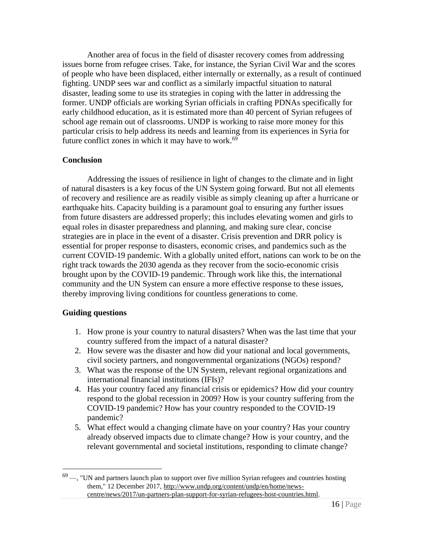Another area of focus in the field of disaster recovery comes from addressing issues borne from refugee crises. Take, for instance, the Syrian Civil War and the scores of people who have been displaced, either internally or externally, as a result of continued fighting. UNDP sees war and conflict as a similarly impactful situation to natural disaster, leading some to use its strategies in coping with the latter in addressing the former. UNDP officials are working Syrian officials in crafting PDNAs specifically for early childhood education, as it is estimated more than 40 percent of Syrian refugees of school age remain out of classrooms. UNDP is working to raise more money for this particular crisis to help address its needs and learning from its experiences in Syria for future conflict zones in which it may have to work. $69$ 

## **Conclusion**

Addressing the issues of resilience in light of changes to the climate and in light of natural disasters is a key focus of the UN System going forward. But not all elements of recovery and resilience are as readily visible as simply cleaning up after a hurricane or earthquake hits. Capacity building is a paramount goal to ensuring any further issues from future disasters are addressed properly; this includes elevating women and girls to equal roles in disaster preparedness and planning, and making sure clear, concise strategies are in place in the event of a disaster. Crisis prevention and DRR policy is essential for proper response to disasters, economic crises, and pandemics such as the current COVID-19 pandemic. With a globally united effort, nations can work to be on the right track towards the 2030 agenda as they recover from the socio-economic crisis brought upon by the COVID-19 pandemic. Through work like this, the international community and the UN System can ensure a more effective response to these issues, thereby improving living conditions for countless generations to come.

### **Guiding questions**

- 1. How prone is your country to natural disasters? When was the last time that your country suffered from the impact of a natural disaster?
- 2. How severe was the disaster and how did your national and local governments, civil society partners, and nongovernmental organizations (NGOs) respond?
- 3. What was the response of the UN System, relevant regional organizations and international financial institutions (IFIs)?
- 4. Has your country faced any financial crisis or epidemics? How did your country respond to the global recession in 2009? How is your country suffering from the COVID-19 pandemic? How has your country responded to the COVID-19 pandemic?
- 5. What effect would a changing climate have on your country? Has your country already observed impacts due to climate change? How is your country, and the relevant governmental and societal institutions, responding to climate change?

 $69 -$ , "UN and partners launch plan to support over five million Syrian refugees and countries hosting them," 12 December 2017, [http://www.undp.org/content/undp/en/home/news](http://www.undp.org/content/undp/en/home/news-centre/news/2017/un-partners-plan-support-for-syrian-refugees-host-countries.html)[centre/news/2017/un-partners-plan-support-for-syrian-refugees-host-countries.html.](http://www.undp.org/content/undp/en/home/news-centre/news/2017/un-partners-plan-support-for-syrian-refugees-host-countries.html)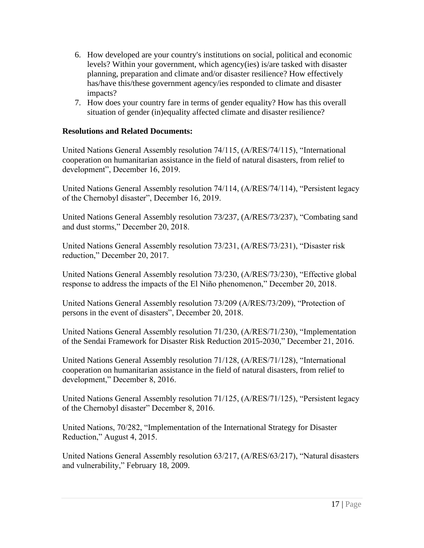- 6. How developed are your country's institutions on social, political and economic levels? Within your government, which agency(ies) is/are tasked with disaster planning, preparation and climate and/or disaster resilience? How effectively has/have this/these government agency/ies responded to climate and disaster impacts?
- 7. How does your country fare in terms of gender equality? How has this overall situation of gender (in)equality affected climate and disaster resilience?

## **Resolutions and Related Documents:**

United Nations General Assembly resolution 74/115, (A/RES/74/115), "International cooperation on humanitarian assistance in the field of natural disasters, from relief to development", December 16, 2019.

United Nations General Assembly resolution 74/114, (A/RES/74/114), "Persistent legacy of the Chernobyl disaster", December 16, 2019.

United Nations General Assembly resolution 73/237, (A/RES/73/237), "Combating sand and dust storms," December 20, 2018.

United Nations General Assembly resolution 73/231, (A/RES/73/231), "Disaster risk reduction," December 20, 2017.

United Nations General Assembly resolution 73/230, (A/RES/73/230), "Effective global response to address the impacts of the El Niño phenomenon," December 20, 2018.

United Nations General Assembly resolution 73/209 (A/RES/73/209), "Protection of persons in the event of disasters", December 20, 2018.

United Nations General Assembly resolution 71/230, (A/RES/71/230), "Implementation of the Sendai Framework for Disaster Risk Reduction 2015-2030," December 21, 2016.

United Nations General Assembly resolution 71/128, (A/RES/71/128), "International cooperation on humanitarian assistance in the field of natural disasters, from relief to development," December 8, 2016.

United Nations General Assembly resolution 71/125, (A/RES/71/125), "Persistent legacy of the Chernobyl disaster" December 8, 2016.

United Nations, 70/282, "Implementation of the International Strategy for Disaster Reduction," August 4, 2015.

United Nations General Assembly resolution 63/217, (A/RES/63/217), "Natural disasters and vulnerability," February 18, 2009.